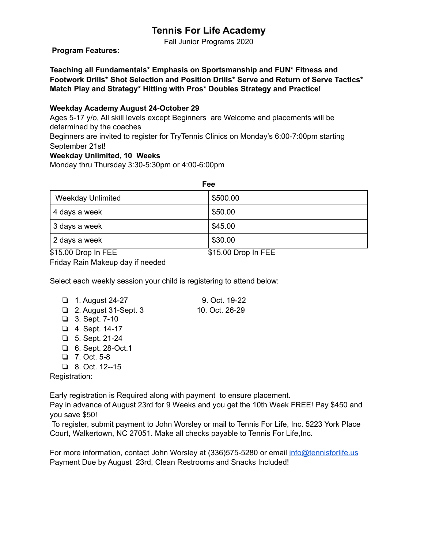# **Tennis For Life Academy**

Fall Junior Programs 2020

## **Program Features:**

**Teaching all Fundamentals\* Emphasis on Sportsmanship and FUN\* Fitness and Footwork Drills\* Shot Selection and Position Drills\* Serve and Return of Serve Tactics\* Match Play and Strategy\* Hitting with Pros\* Doubles Strategy and Practice!** 

#### **Weekday Academy August 24-October 29**

Ages 5-17 y/o, All skill levels except Beginners are Welcome and placements will be determined by the coaches

Beginners are invited to register for TryTennis Clinics on Monday's 6:00-7:00pm starting September 21st!

## **Weekday Unlimited, 10 Weeks**

Monday thru Thursday 3:30-5:30pm or 4:00-6:00pm

| Fee                                                  |                 |  |  |
|------------------------------------------------------|-----------------|--|--|
| <b>Weekday Unlimited</b>                             | \$500.00        |  |  |
| 4 days a week                                        | \$50.00         |  |  |
| 3 days a week                                        | \$45.00         |  |  |
| 2 days a week                                        | \$30.00         |  |  |
| $\cdots$<br>---<br>and the state of the state of the | $\cdots$<br>--- |  |  |

\$15.00 Drop In FEE \$15.00 Drop In FEE

Friday Rain Makeup day if needed

Select each weekly session your child is registering to attend below:

| $\Box$ 1. August 24-27      | 9. Oct. 19-22  |
|-----------------------------|----------------|
| $\Box$ 2. August 31-Sept. 3 | 10. Oct. 26-29 |
| $\Box$ 3. Sept. 7-10        |                |

- ❏ 4. Sept. 14-17
- ❏ 5. Sept. 21-24
- ❏ 6. Sept. 28-Oct.1
- ❏ 7. Oct. 5-8
- ❏ 8. Oct. 12--15

Registration:

Early registration is Required along with payment to ensure placement.

Pay in advance of August 23rd for 9 Weeks and you get the 10th Week FREE! Pay \$450 and you save \$50!

 To register, submit payment to John Worsley or mail to Tennis For Life, Inc. 5223 York Place Court, Walkertown, NC 27051. Make all checks payable to Tennis For Life,Inc.

For more information, contact John Worsley at (336)575-5280 or email [info@tennisforlife.us](mailto:info@tennisforlife.us) Payment Due by August 23rd, Clean Restrooms and Snacks Included!